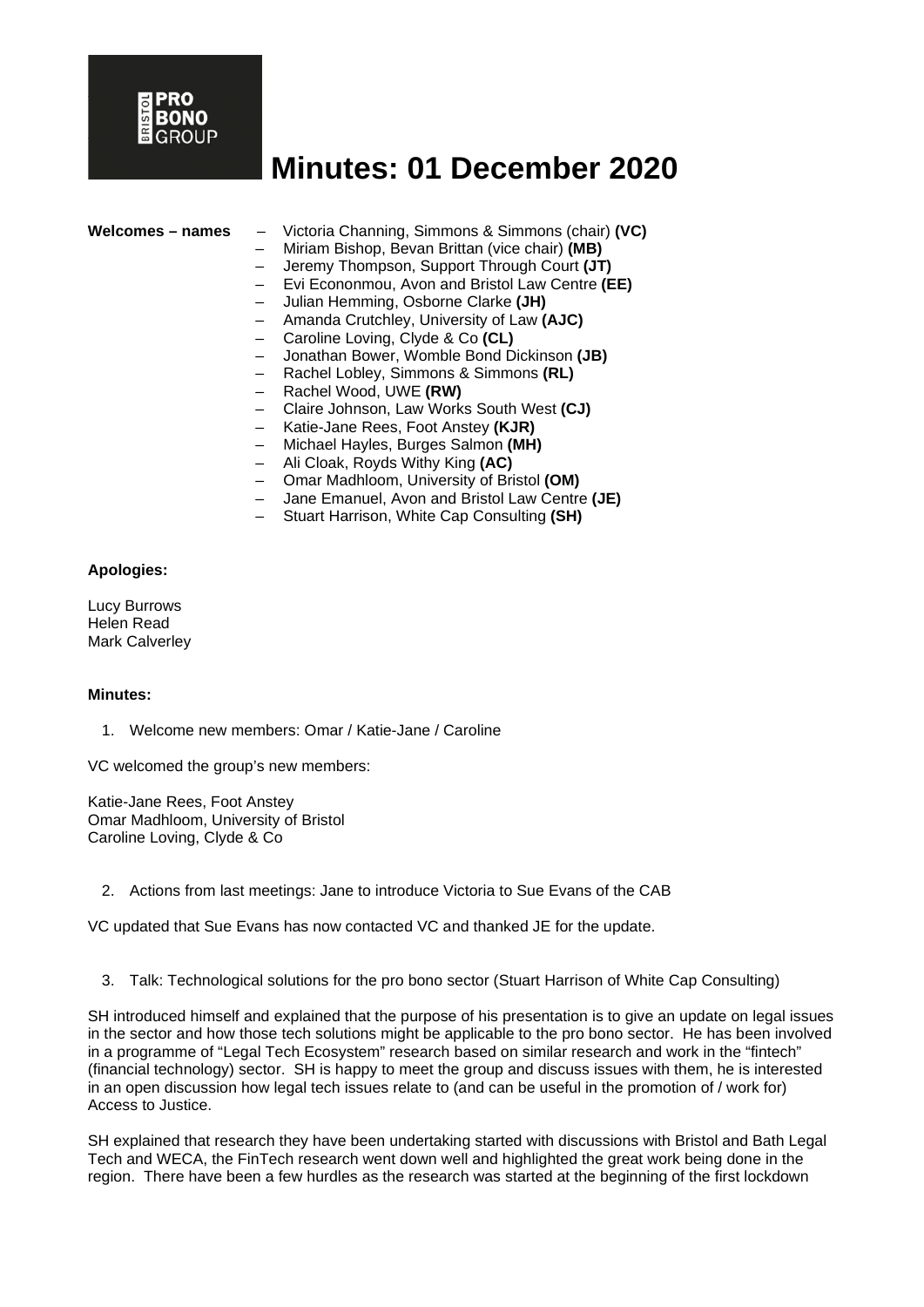

|  |  |  |  |  | Welcomes – names |
|--|--|--|--|--|------------------|
|--|--|--|--|--|------------------|

**Welcomes – names** – Victoria Channing, Simmons & Simmons (chair) **(VC)**

- Miriam Bishop, Bevan Brittan (vice chair) **(MB)**
- Jeremy Thompson, Support Through Court **(JT)**
- Evi Econonmou, Avon and Bristol Law Centre **(EE)**
- Julian Hemming, Osborne Clarke **(JH)**
- Amanda Crutchley, University of Law **(AJC)**
- Caroline Loving, Clyde & Co **(CL)**
- Jonathan Bower, Womble Bond Dickinson **(JB)**
- Rachel Lobley, Simmons & Simmons **(RL)**
- Rachel Wood, UWE **(RW)**
- Claire Johnson, Law Works South West **(CJ)**
- Katie-Jane Rees, Foot Anstey **(KJR)**
- Michael Hayles, Burges Salmon **(MH)**
- Ali Cloak, Royds Withy King **(AC)**
- Omar Madhloom, University of Bristol **(OM)**
- Jane Emanuel, Avon and Bristol Law Centre **(JE)**
- Stuart Harrison, White Cap Consulting **(SH)**

#### **Apologies:**

Lucy Burrows Helen Read Mark Calverley

#### **Minutes:**

1. Welcome new members: Omar / Katie-Jane / Caroline

VC welcomed the group's new members:

Katie-Jane Rees, Foot Anstey Omar Madhloom, University of Bristol Caroline Loving, Clyde & Co

2. Actions from last meetings: Jane to introduce Victoria to Sue Evans of the CAB

VC updated that Sue Evans has now contacted VC and thanked JE for the update.

3. Talk: Technological solutions for the pro bono sector (Stuart Harrison of White Cap Consulting)

SH introduced himself and explained that the purpose of his presentation is to give an update on legal issues in the sector and how those tech solutions might be applicable to the pro bono sector. He has been involved in a programme of "Legal Tech Ecosystem" research based on similar research and work in the "fintech" (financial technology) sector. SH is happy to meet the group and discuss issues with them, he is interested in an open discussion how legal tech issues relate to (and can be useful in the promotion of / work for) Access to Justice.

SH explained that research they have been undertaking started with discussions with Bristol and Bath Legal Tech and WECA, the FinTech research went down well and highlighted the great work being done in the region. There have been a few hurdles as the research was started at the beginning of the first lockdown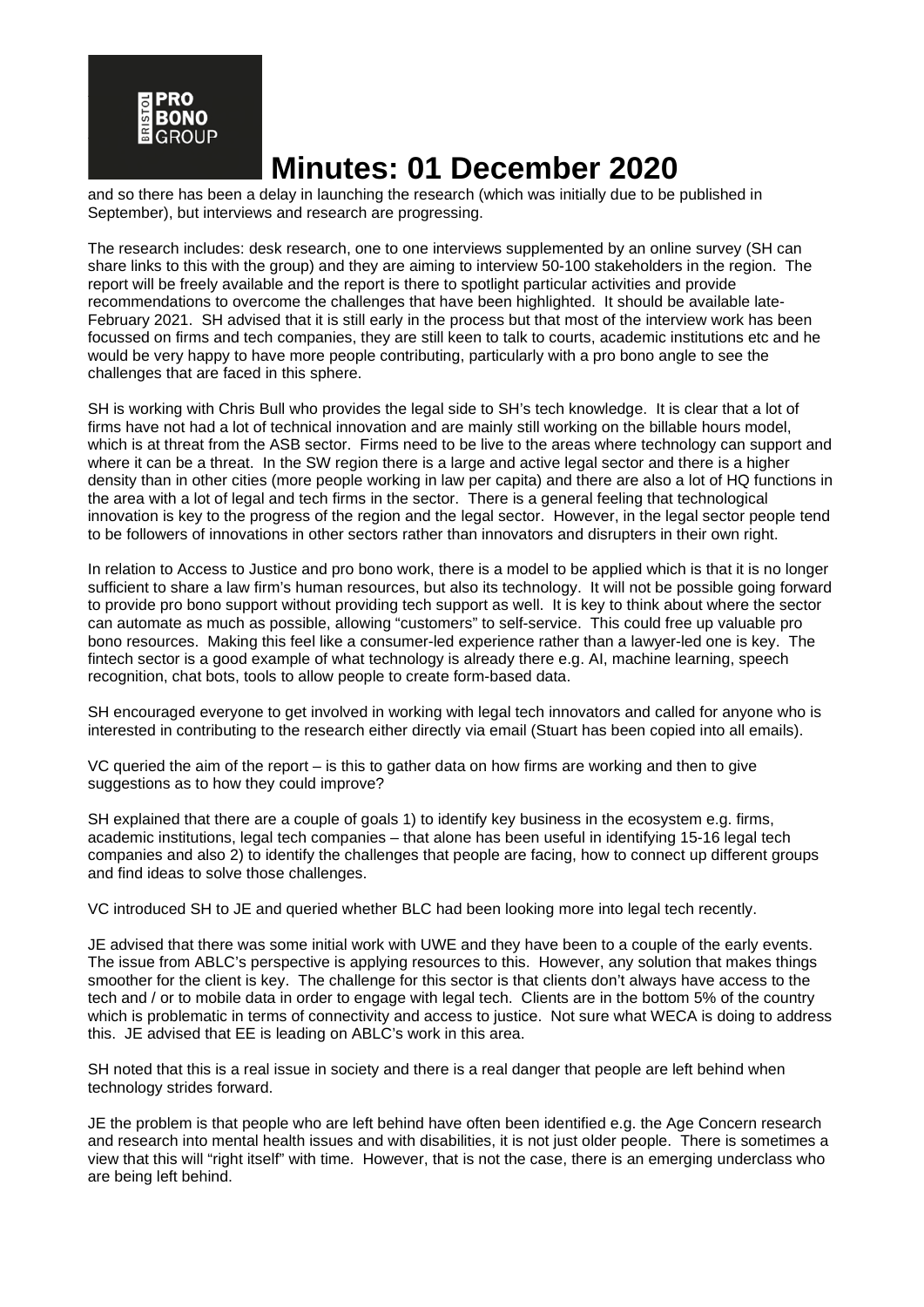

and so there has been a delay in launching the research (which was initially due to be published in September), but interviews and research are progressing.

The research includes: desk research, one to one interviews supplemented by an online survey (SH can share links to this with the group) and they are aiming to interview 50-100 stakeholders in the region. The report will be freely available and the report is there to spotlight particular activities and provide recommendations to overcome the challenges that have been highlighted. It should be available late-February 2021. SH advised that it is still early in the process but that most of the interview work has been focussed on firms and tech companies, they are still keen to talk to courts, academic institutions etc and he would be very happy to have more people contributing, particularly with a pro bono angle to see the challenges that are faced in this sphere.

SH is working with Chris Bull who provides the legal side to SH's tech knowledge. It is clear that a lot of firms have not had a lot of technical innovation and are mainly still working on the billable hours model, which is at threat from the ASB sector. Firms need to be live to the areas where technology can support and where it can be a threat. In the SW region there is a large and active legal sector and there is a higher density than in other cities (more people working in law per capita) and there are also a lot of HQ functions in the area with a lot of legal and tech firms in the sector. There is a general feeling that technological innovation is key to the progress of the region and the legal sector. However, in the legal sector people tend to be followers of innovations in other sectors rather than innovators and disrupters in their own right.

In relation to Access to Justice and pro bono work, there is a model to be applied which is that it is no longer sufficient to share a law firm's human resources, but also its technology. It will not be possible going forward to provide pro bono support without providing tech support as well. It is key to think about where the sector can automate as much as possible, allowing "customers" to self-service. This could free up valuable pro bono resources. Making this feel like a consumer-led experience rather than a lawyer-led one is key. The fintech sector is a good example of what technology is already there e.g. AI, machine learning, speech recognition, chat bots, tools to allow people to create form-based data.

SH encouraged everyone to get involved in working with legal tech innovators and called for anyone who is interested in contributing to the research either directly via email (Stuart has been copied into all emails).

VC queried the aim of the report – is this to gather data on how firms are working and then to give suggestions as to how they could improve?

SH explained that there are a couple of goals 1) to identify key business in the ecosystem e.g. firms, academic institutions, legal tech companies – that alone has been useful in identifying 15-16 legal tech companies and also 2) to identify the challenges that people are facing, how to connect up different groups and find ideas to solve those challenges.

VC introduced SH to JE and queried whether BLC had been looking more into legal tech recently.

JE advised that there was some initial work with UWE and they have been to a couple of the early events. The issue from ABLC's perspective is applying resources to this. However, any solution that makes things smoother for the client is key. The challenge for this sector is that clients don't always have access to the tech and / or to mobile data in order to engage with legal tech. Clients are in the bottom 5% of the country which is problematic in terms of connectivity and access to justice. Not sure what WECA is doing to address this. JE advised that EE is leading on ABLC's work in this area.

SH noted that this is a real issue in society and there is a real danger that people are left behind when technology strides forward.

JE the problem is that people who are left behind have often been identified e.g. the Age Concern research and research into mental health issues and with disabilities, it is not just older people. There is sometimes a view that this will "right itself" with time. However, that is not the case, there is an emerging underclass who are being left behind.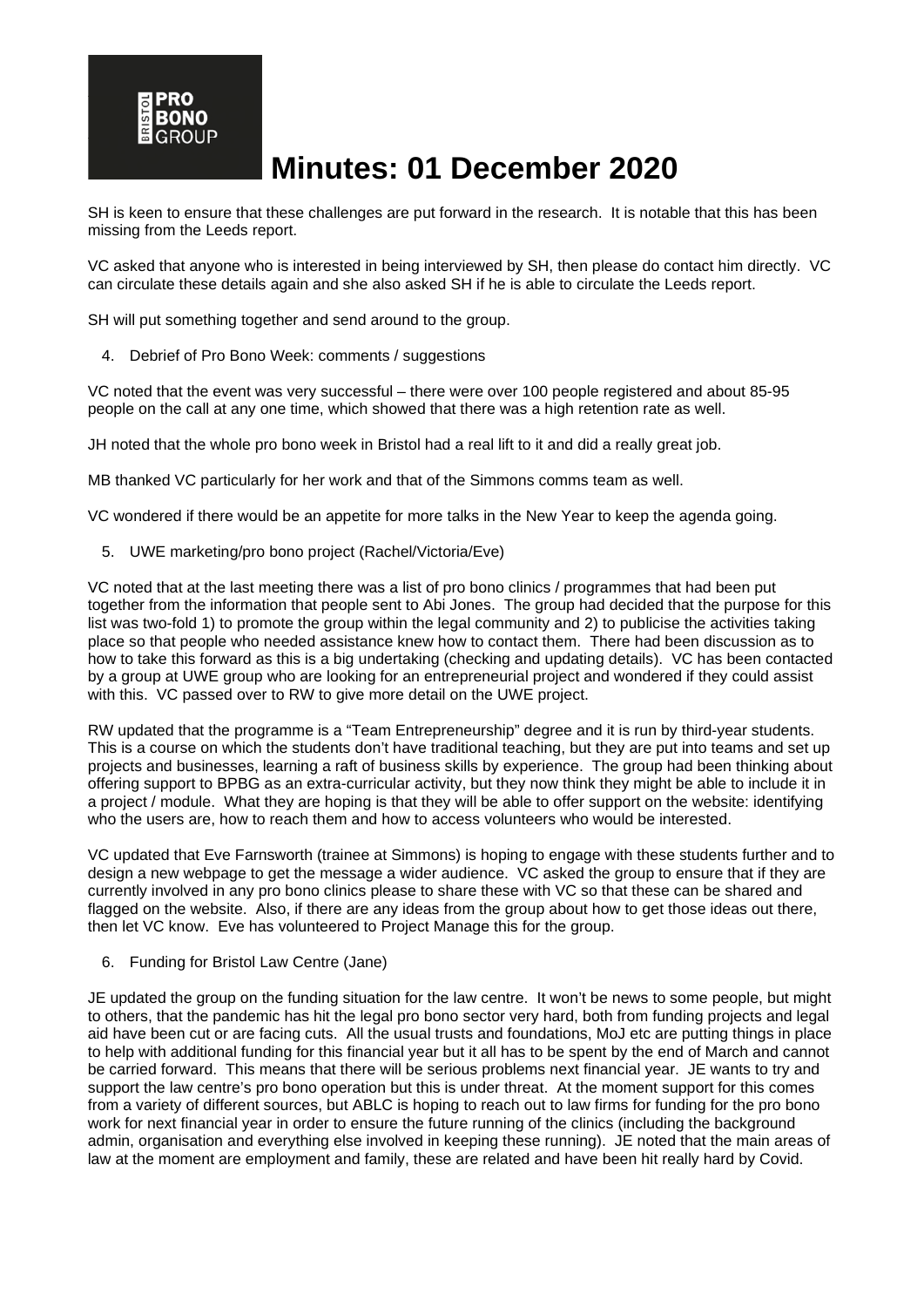SH is keen to ensure that these challenges are put forward in the research. It is notable that this has been missing from the Leeds report.

VC asked that anyone who is interested in being interviewed by SH, then please do contact him directly. VC can circulate these details again and she also asked SH if he is able to circulate the Leeds report.

SH will put something together and send around to the group.

4. Debrief of Pro Bono Week: comments / suggestions

VC noted that the event was very successful – there were over 100 people registered and about 85-95 people on the call at any one time, which showed that there was a high retention rate as well.

JH noted that the whole pro bono week in Bristol had a real lift to it and did a really great job.

MB thanked VC particularly for her work and that of the Simmons comms team as well.

VC wondered if there would be an appetite for more talks in the New Year to keep the agenda going.

5. UWE marketing/pro bono project (Rachel/Victoria/Eve)

VC noted that at the last meeting there was a list of pro bono clinics / programmes that had been put together from the information that people sent to Abi Jones. The group had decided that the purpose for this list was two-fold 1) to promote the group within the legal community and 2) to publicise the activities taking place so that people who needed assistance knew how to contact them. There had been discussion as to how to take this forward as this is a big undertaking (checking and updating details). VC has been contacted by a group at UWE group who are looking for an entrepreneurial project and wondered if they could assist with this. VC passed over to RW to give more detail on the UWE project.

RW updated that the programme is a "Team Entrepreneurship" degree and it is run by third-year students. This is a course on which the students don't have traditional teaching, but they are put into teams and set up projects and businesses, learning a raft of business skills by experience. The group had been thinking about offering support to BPBG as an extra-curricular activity, but they now think they might be able to include it in a project / module. What they are hoping is that they will be able to offer support on the website: identifying who the users are, how to reach them and how to access volunteers who would be interested.

VC updated that Eve Farnsworth (trainee at Simmons) is hoping to engage with these students further and to design a new webpage to get the message a wider audience. VC asked the group to ensure that if they are currently involved in any pro bono clinics please to share these with VC so that these can be shared and flagged on the website. Also, if there are any ideas from the group about how to get those ideas out there, then let VC know. Eve has volunteered to Project Manage this for the group.

6. Funding for Bristol Law Centre (Jane)

JE updated the group on the funding situation for the law centre. It won't be news to some people, but might to others, that the pandemic has hit the legal pro bono sector very hard, both from funding projects and legal aid have been cut or are facing cuts. All the usual trusts and foundations, MoJ etc are putting things in place to help with additional funding for this financial year but it all has to be spent by the end of March and cannot be carried forward. This means that there will be serious problems next financial year. JE wants to try and support the law centre's pro bono operation but this is under threat. At the moment support for this comes from a variety of different sources, but ABLC is hoping to reach out to law firms for funding for the pro bono work for next financial year in order to ensure the future running of the clinics (including the background admin, organisation and everything else involved in keeping these running). JE noted that the main areas of law at the moment are employment and family, these are related and have been hit really hard by Covid.